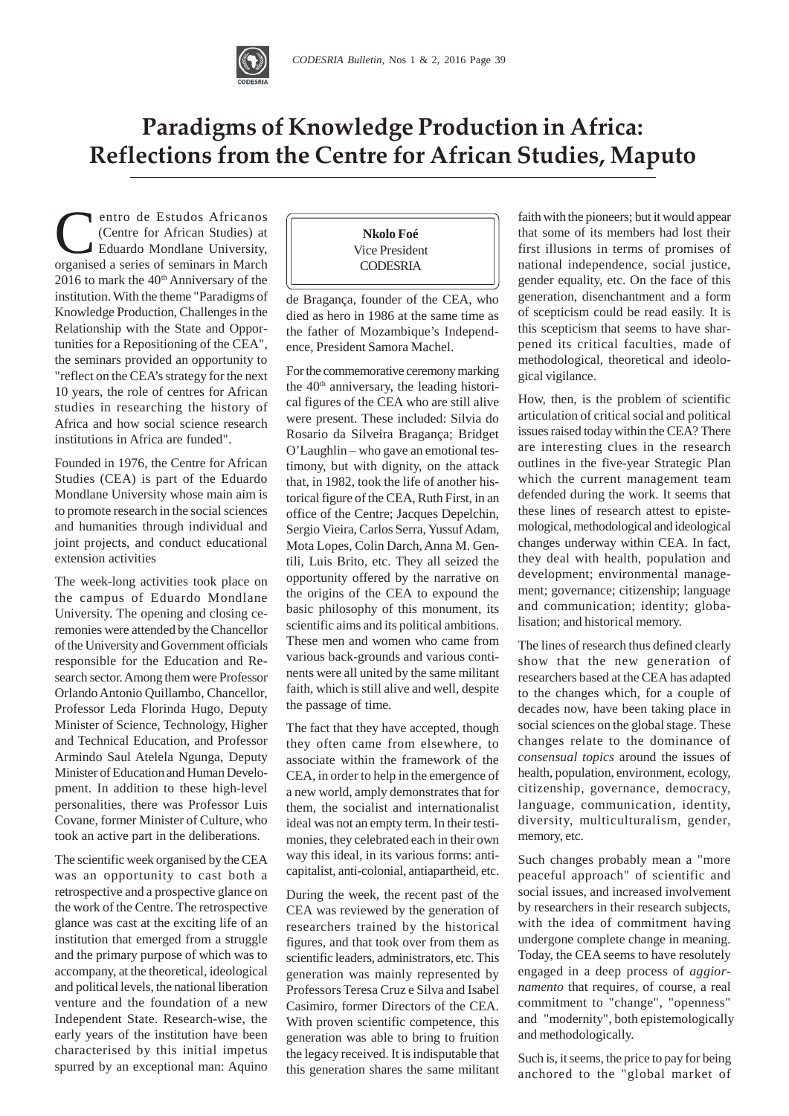

## **Paradigms of Knowledge Production in Africa: Reflections from the Centre for African Studies, Maputo**

entro de Estudos Africanos (Centre for African Studies) at Eduardo Mondlane University, organised a series of seminars in March 2016 to mark the 40<sup>th</sup> Anniversary of the institution. With the theme "Paradigms of Knowledge Production, Challenges in the Relationship with the State and Opportunities for a Repositioning of the CEA", the seminars provided an opportunity to "reflect on the CEA's strategy for the next 10 years, the role of centres for African studies in researching the history of Africa and how social science research institutions in Africa are funded".

Founded in 1976, the Centre for African Studies (CEA) is part of the Eduardo Mondlane University whose main aim is to promote research in the social sciences and humanities through individual and joint projects, and conduct educational extension activities

The week-long activities took place on the campus of Eduardo Mondlane University. The opening and closing ceremonies were attended by the Chancellor of the University and Government officials responsible for the Education and Research sector. Among them were Professor Orlando Antonio Quillambo, Chancellor, Professor Leda Florinda Hugo, Deputy Minister of Science, Technology, Higher and Technical Education, and Professor Armindo Saul Atelela Ngunga, Deputy Minister of Education and Human Development. In addition to these high-level personalities, there was Professor Luis Covane, former Minister of Culture, who took an active part in the deliberations.

The scientific week organised by the CEA was an opportunity to cast both a retrospective and a prospective glance on the work of the Centre. The retrospective glance was cast at the exciting life of an institution that emerged from a struggle and the primary purpose of which was to accompany, at the theoretical, ideological and political levels, the national liberation venture and the foundation of a new Independent State. Research-wise, the early years of the institution have been characterised by this initial impetus spurred by an exceptional man: Aquino



de Bragança, founder of the CEA, who died as hero in 1986 at the same time as the father of Mozambique's Independence, President Samora Machel.

For the commemorative ceremony marking the  $40<sup>th</sup>$  anniversary, the leading historical figures of the CEA who are still alive were present. These included: Silvia do Rosario da Silveira Bragança; Bridget O'Laughlin – who gave an emotional testimony, but with dignity, on the attack that, in 1982, took the life of another historical figure of the CEA, Ruth First, in an office of the Centre; Jacques Depelchin, Sergio Vieira, Carlos Serra, Yussuf Adam, Mota Lopes, Colin Darch, Anna M. Gentili, Luis Brito, etc. They all seized the opportunity offered by the narrative on the origins of the CEA to expound the basic philosophy of this monument, its scientific aims and its political ambitions. These men and women who came from various back-grounds and various continents were all united by the same militant faith, which is still alive and well, despite the passage of time.

The fact that they have accepted, though they often came from elsewhere, to associate within the framework of the CEA, in order to help in the emergence of a new world, amply demonstrates that for them, the socialist and internationalist ideal was not an empty term. In their testimonies, they celebrated each in their own way this ideal, in its various forms: anticapitalist, anti-colonial, antiapartheid, etc.

During the week, the recent past of the CEA was reviewed by the generation of researchers trained by the historical figures, and that took over from them as scientific leaders, administrators, etc. This generation was mainly represented by Professors Teresa Cruz e Silva and Isabel Casimiro, former Directors of the CEA. With proven scientific competence, this generation was able to bring to fruition the legacy received. It is indisputable that this generation shares the same militant faith with the pioneers; but it would appear that some of its members had lost their first illusions in terms of promises of national independence, social justice, gender equality, etc. On the face of this generation, disenchantment and a form of scepticism could be read easily. It is this scepticism that seems to have sharpened its critical faculties, made of methodological, theoretical and ideological vigilance.

How, then, is the problem of scientific articulation of critical social and political issues raised today within the CEA? There are interesting clues in the research outlines in the five-year Strategic Plan which the current management team defended during the work. It seems that these lines of research attest to epistemological, methodological and ideological changes underway within CEA. In fact, they deal with health, population and development; environmental management; governance; citizenship; language and communication; identity; globalisation; and historical memory.

The lines of research thus defined clearly show that the new generation of researchers based at the CEA has adapted to the changes which, for a couple of decades now, have been taking place in social sciences on the global stage. These changes relate to the dominance of *consensual topics* around the issues of health, population, environment, ecology, citizenship, governance, democracy, language, communication, identity, diversity, multiculturalism, gender, memory, etc.

Such changes probably mean a "more peaceful approach" of scientific and social issues, and increased involvement by researchers in their research subjects, with the idea of commitment having undergone complete change in meaning. Today, the CEA seems to have resolutely engaged in a deep process of *aggiornamento* that requires, of course, a real commitment to "change", "openness" and "modernity", both epistemologically and methodologically.

Such is, it seems, the price to pay for being anchored to the "global market of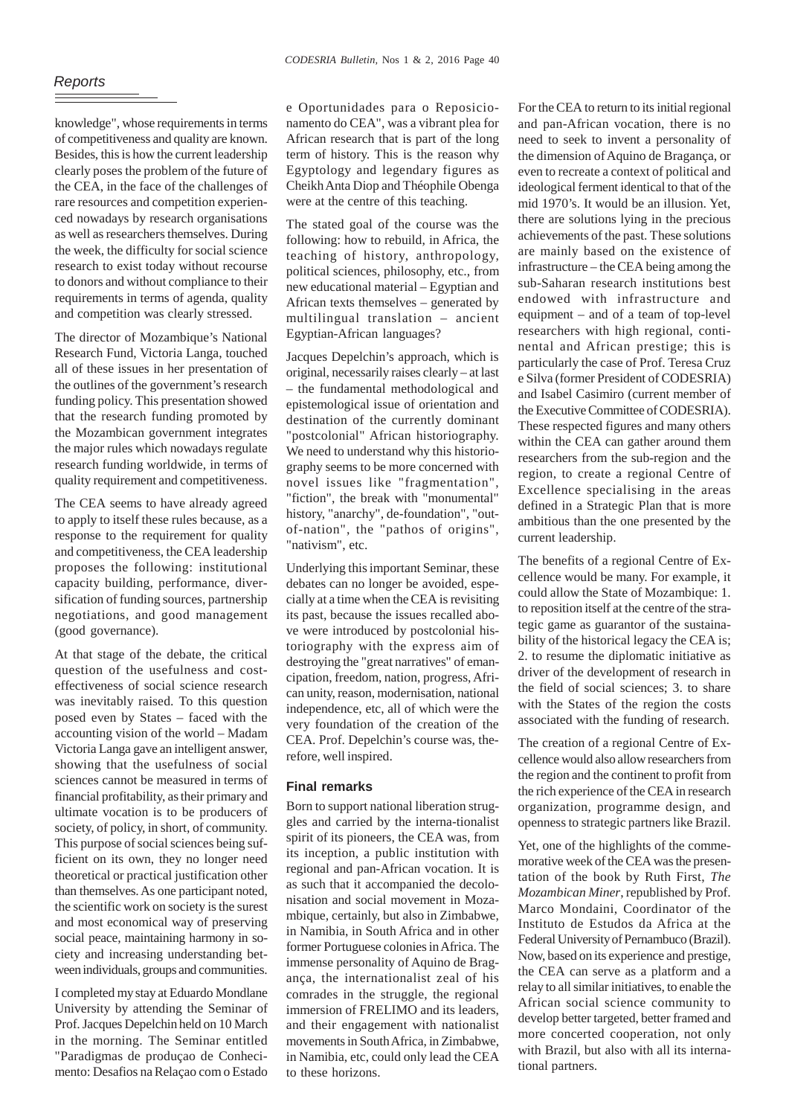## *Reports*

knowledge", whose requirements in terms of competitiveness and quality are known. Besides, this is how the current leadership clearly poses the problem of the future of the CEA, in the face of the challenges of rare resources and competition experienced nowadays by research organisations as well as researchers themselves. During the week, the difficulty for social science research to exist today without recourse to donors and without compliance to their requirements in terms of agenda, quality and competition was clearly stressed.

The director of Mozambique's National Research Fund, Victoria Langa, touched all of these issues in her presentation of the outlines of the government's research funding policy. This presentation showed that the research funding promoted by the Mozambican government integrates the major rules which nowadays regulate research funding worldwide, in terms of quality requirement and competitiveness.

The CEA seems to have already agreed to apply to itself these rules because, as a response to the requirement for quality and competitiveness, the CEA leadership proposes the following: institutional capacity building, performance, diversification of funding sources, partnership negotiations, and good management (good governance).

At that stage of the debate, the critical question of the usefulness and costeffectiveness of social science research was inevitably raised. To this question posed even by States – faced with the accounting vision of the world – Madam Victoria Langa gave an intelligent answer, showing that the usefulness of social sciences cannot be measured in terms of financial profitability, as their primary and ultimate vocation is to be producers of society, of policy, in short, of community. This purpose of social sciences being sufficient on its own, they no longer need theoretical or practical justification other than themselves. As one participant noted, the scientific work on society is the surest and most economical way of preserving social peace, maintaining harmony in society and increasing understanding between individuals, groups and communities.

I completed my stay at Eduardo Mondlane University by attending the Seminar of Prof. Jacques Depelchin held on 10 March in the morning. The Seminar entitled "Paradigmas de produçao de Conhecimento: Desafios na Relaçao com o Estado

e Oportunidades para o Reposicionamento do CEA", was a vibrant plea for African research that is part of the long term of history. This is the reason why Egyptology and legendary figures as Cheikh Anta Diop and Théophile Obenga were at the centre of this teaching.

The stated goal of the course was the following: how to rebuild, in Africa, the teaching of history, anthropology, political sciences, philosophy, etc., from new educational material – Egyptian and African texts themselves – generated by multilingual translation – ancient Egyptian-African languages?

Jacques Depelchin's approach, which is original, necessarily raises clearly – at last – the fundamental methodological and epistemological issue of orientation and destination of the currently dominant "postcolonial" African historiography. We need to understand why this historiography seems to be more concerned with novel issues like "fragmentation", "fiction", the break with "monumental" history, "anarchy", de-foundation", "outof-nation", the "pathos of origins", "nativism", etc.

Underlying this important Seminar, these debates can no longer be avoided, especially at a time when the CEA is revisiting its past, because the issues recalled above were introduced by postcolonial historiography with the express aim of destroying the "great narratives" of emancipation, freedom, nation, progress, African unity, reason, modernisation, national independence, etc, all of which were the very foundation of the creation of the CEA. Prof. Depelchin's course was, therefore, well inspired.

## **Final remarks**

Born to support national liberation struggles and carried by the interna-tionalist spirit of its pioneers, the CEA was, from its inception, a public institution with regional and pan-African vocation. It is as such that it accompanied the decolonisation and social movement in Mozambique, certainly, but also in Zimbabwe, in Namibia, in South Africa and in other former Portuguese colonies in Africa. The immense personality of Aquino de Bragança, the internationalist zeal of his comrades in the struggle, the regional immersion of FRELIMO and its leaders, and their engagement with nationalist movements in South Africa, in Zimbabwe, in Namibia, etc, could only lead the CEA to these horizons.

For the CEA to return to its initial regional and pan-African vocation, there is no need to seek to invent a personality of the dimension of Aquino de Bragança, or even to recreate a context of political and ideological ferment identical to that of the mid 1970's. It would be an illusion. Yet, there are solutions lying in the precious achievements of the past. These solutions are mainly based on the existence of infrastructure – the CEA being among the sub-Saharan research institutions best endowed with infrastructure and equipment – and of a team of top-level researchers with high regional, continental and African prestige; this is particularly the case of Prof. Teresa Cruz e Silva (former President of CODESRIA) and Isabel Casimiro (current member of the Executive Committee of CODESRIA). These respected figures and many others within the CEA can gather around them researchers from the sub-region and the region, to create a regional Centre of Excellence specialising in the areas defined in a Strategic Plan that is more ambitious than the one presented by the current leadership.

The benefits of a regional Centre of Excellence would be many. For example, it could allow the State of Mozambique: 1. to reposition itself at the centre of the strategic game as guarantor of the sustainability of the historical legacy the CEA is; 2. to resume the diplomatic initiative as driver of the development of research in the field of social sciences; 3. to share with the States of the region the costs associated with the funding of research.

The creation of a regional Centre of Excellence would also allow researchers from the region and the continent to profit from the rich experience of the CEA in research organization, programme design, and openness to strategic partners like Brazil.

Yet, one of the highlights of the commemorative week of the CEA was the presentation of the book by Ruth First, *The Mozambican Miner*, republished by Prof. Marco Mondaini, Coordinator of the Instituto de Estudos da Africa at the Federal University of Pernambuco (Brazil). Now, based on its experience and prestige, the CEA can serve as a platform and a relay to all similar initiatives, to enable the African social science community to develop better targeted, better framed and more concerted cooperation, not only with Brazil, but also with all its international partners.